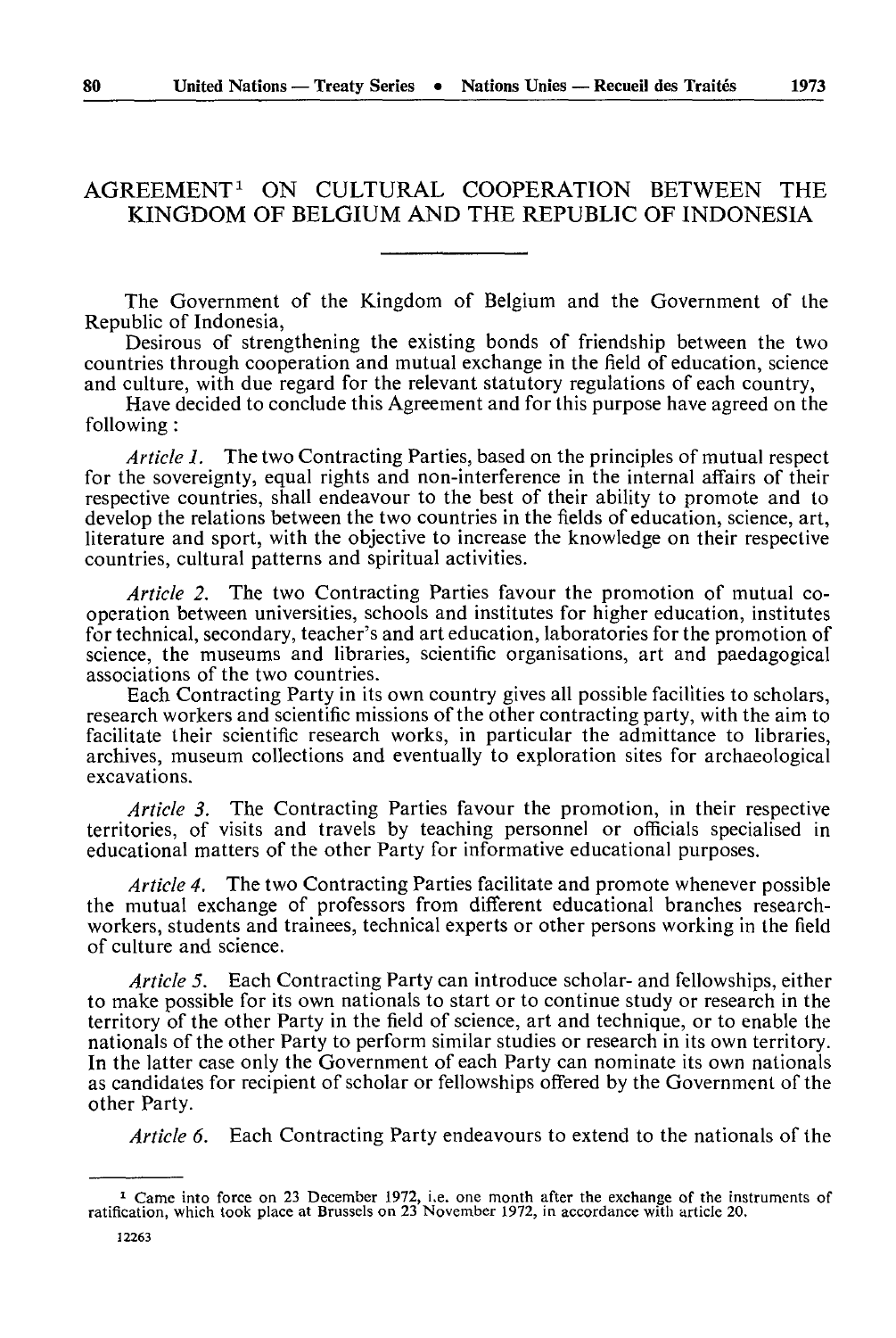## AGREEMENT1 ON CULTURAL COOPERATION BETWEEN THE KINGDOM OF BELGIUM AND THE REPUBLIC OF INDONESIA

The Government of the Kingdom of Belgium and the Government of the Republic of Indonesia,

Desirous of strengthening the existing bonds of friendship between the two countries through cooperation and mutual exchange in the field of education, science and culture, with due regard for the relevant statutory regulations of each country,

Have decided to conclude this Agreement and for this purpose have agreed on the following :

*Article 1.* The two Contracting Parties, based on the principles of mutual respect for the sovereignty, equal rights and non-interference in the internal affairs of their respective countries, shall endeavour to the best of their ability to promote and to develop the relations between the two countries in the fields of education, science, art, literature and sport, with the objective to increase the knowledge on their respective countries, cultural patterns and spiritual activities.

*Article 2.* The two Contracting Parties favour the promotion of mutual co operation between universities, schools and institutes for higher education, institutes for technical, secondary, teacher's and art education, laboratories for the promotion of science, the museums and libraries, scientific organisations, art and paedagogical associations of the two countries.

Each Contracting Party in its own country gives all possible facilities to scholars, research workers and scientific missions of the other contracting party, with the aim to facilitate their scientific research works, in particular the admittance to libraries, archives, museum collections and eventually to exploration sites for archaeological excavations.

*Article 3.* The Contracting Parties favour the promotion, in their respective territories, of visits and travels by teaching personnel or officials specialised in educational matters of the other Party for informative educational purposes.

*Article 4.* The two Contracting Parties facilitate and promote whenever possible the mutual exchange of professors from different educational branches researchworkers, students and trainees, technical experts or other persons working in the field of culture and science.

*Article 5.* Each Contracting Party can introduce scholar- and fellowships, either to make possible for its own nationals to start or to continue study or research in the territory of the other Party in the field of science, art and technique, or to enable the nationals of the other Party to perform similar studies or research in its own territory. In the latter case only the Government of each Party can nominate its own nationals as candidates for recipient of scholar or fellowships offered by the Government of the other Party.

*Article 6.* Each Contracting Party endeavours to extend to the nationals of the

<sup>1</sup> Came into force on 23 December 1972, i.e. one month after the exchange of the instruments of ratification, which took place at Brussels on 23 November 1972, in accordance with article 20.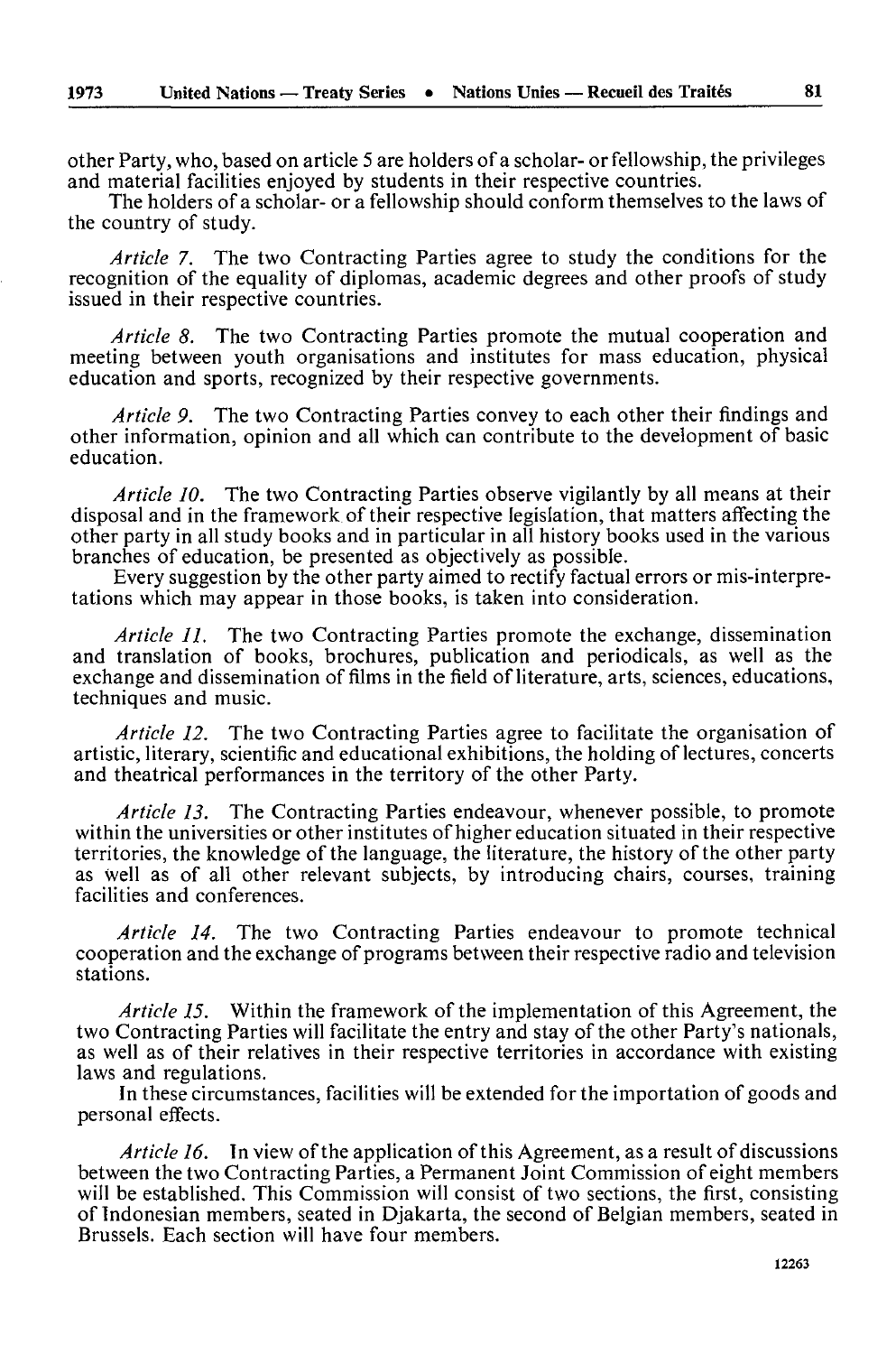other Party, who, based on article 5 are holders of a scholar- or fellowship, the privileges and material facilities enjoyed by students in their respective countries.

The holders of a scholar- or a fellowship should conform themselves to the laws of the country of study.

*Article 7.* The two Contracting Parties agree to study the conditions for the recognition of the equality of diplomas, academic degrees and other proofs of study issued in their respective countries.

*Article 8.* The two Contracting Parties promote the mutual cooperation and meeting between youth organisations and institutes for mass education, physical education and sports, recognized by their respective governments.

*Article 9.* The two Contracting Parties convey to each other their findings and other information, opinion and all which can contribute to the development of basic education.

*Article 10.* The two Contracting Parties observe vigilantly by all means at their disposal and in the framework of their respective legislation, that matters affecting the other party in all study books and in particular in all history books used in the various branches of education, be presented as objectively as possible.

Every suggestion by the other party aimed to rectify factual errors or mis-interpre tations which may appear in those books, is taken into consideration.

*Article 11.* The two Contracting Parties promote the exchange, dissemination and translation of books, brochures, publication and periodicals, as well as the exchange and dissemination of films in the field of literature, arts, sciences, educations, techniques and music.

*Article 12.* The two Contracting Parties agree to facilitate the organisation of artistic, literary, scientific and educational exhibitions, the holding of lectures, concerts and theatrical performances in the territory of the other Party.

*Article 13.* The Contracting Parties endeavour, whenever possible, to promote within the universities or other institutes of higher education situated in their respective territories, the knowledge of the language, the literature, the history of the other party as well as of all other relevant subjects, by introducing chairs, courses, training facilities and conferences.

*Article 14.* The two Contracting Parties endeavour to promote technical cooperation and the exchange of programs between their respective radio and television stations.

*Article 15.* Within the framework of the implementation of this Agreement, the two Contracting Parties will facilitate the entry and stay of the other Party's nationals, as well as of their relatives in their respective territories in accordance with existing laws and regulations.

In these circumstances, facilities will be extended for the importation of goods and personal effects.

*Article 16.* In view of the application of this Agreement, as a result of discussions between the two Contracting Parties, a Permanent Joint Commission of eight members will be established. This Commission will consist of two sections, the first, consisting of Indonesian members, seated in Djakarta, the second of Belgian members, seated in Brussels. Each section will have four members.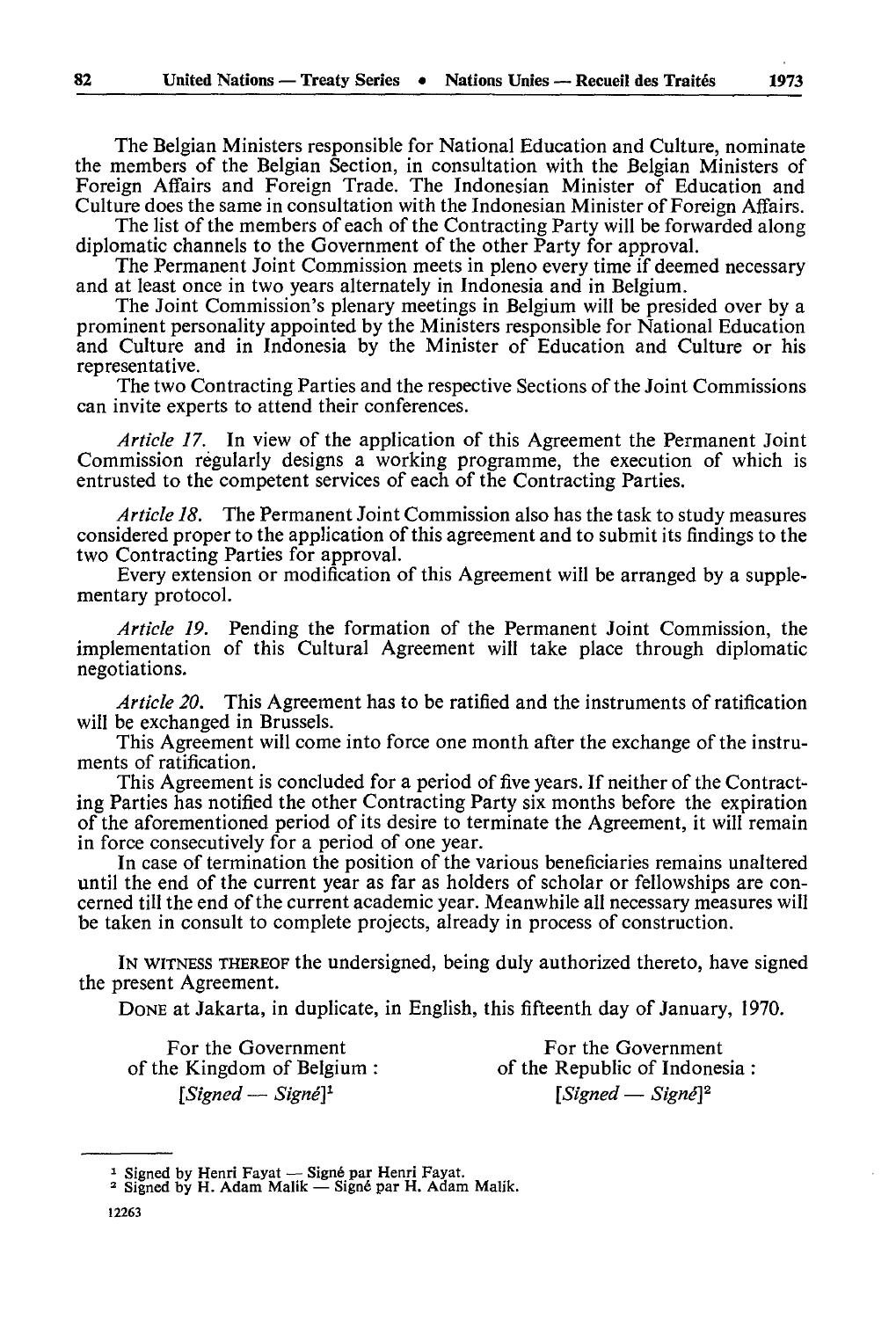The Belgian Ministers responsible for National Education and Culture, nominate the members of the Belgian Section, in consultation with the Belgian Ministers of Foreign Affairs and Foreign Trade. The Indonesian Minister of Education and Culture does the same in consultation with the Indonesian Minister of Foreign Affairs.

The list of the members of each of the Contracting Party will be forwarded along diplomatic channels to the Government of the other Party for approval.

The Permanent Joint Commission meets in pleno every time if deemed necessary and at least once in two years alternately in Indonesia and in Belgium.

The Joint Commission's plenary meetings in Belgium will be presided over by a prominent personality appointed by the Ministers responsible for National Education and Culture and in Indonesia by the Minister of Education and Culture or his representative.

The two Contracting Parties and the respective Sections of the Joint Commissions can invite experts to attend their conferences.

*Article 17.* In view of the application of this Agreement the Permanent Joint Commission regularly designs a working programme, the execution of which is entrusted to the competent services of each of the Contracting Parties.

*Article 18.* The Permanent Joint Commission also has the task to study measures considered proper to the application of this agreement and to submit its findings to the two Contracting Parties for approval.

Every extension or modification of this Agreement will be arranged by a supple mentary protocol.

*Article 19.* Pending the formation of the Permanent Joint Commission, the implementation of this Cultural Agreement will take place through diplomatic negotiations.

*Article 20.* This Agreement has to be ratified and the instruments of ratification will be exchanged in Brussels.

This Agreement will come into force one month after the exchange of the instru ments of ratification.

This Agreement is concluded for a period of five years. If neither of the Contract ing Parties has notified the other Contracting Party six months before the expiration of the aforementioned period of its desire to terminate the Agreement, it will remain in force consecutively for a period of one year.

In case of termination the position of the various beneficiaries remains unaltered until the end of the current year as far as holders of scholar or fellowships are con cerned till the end of the current academic year. Meanwhile all necessary measures will be taken in consult to complete projects, already in process of construction.

IN WITNESS THEREOF the undersigned, being duly authorized thereto, have signed the present Agreement.

DONE at Jakarta, in duplicate, in English, this fifteenth day of January, 1970.

of the Kingdom of Belgium :

For the Government<br>
For the Government<br>
Republic of Indonesia :<br>
of the Republic of Indonesia : *[Signed — Signé] 1 [Signed — Signé]2*

<sup>&</sup>lt;sup>1</sup> Signed by Henri Fayat — Signé par Henri Fayat.<br><sup>2</sup> Signed by H. Adam Malik — Signé par H. Adam Malik.